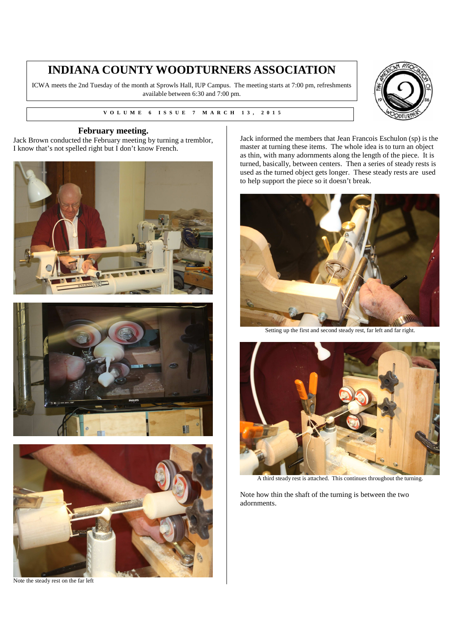# **INDIANA COUNTY WOODTURNERS ASSOCIATION**

ICWA meets the 2nd Tuesday of the month at Sprowls Hall, IUP Campus. The meeting starts at 7:00 pm, refreshments available between 6:30 and 7:00 pm.

**V V O L U M E 6 I S S U E 7 M A R C H 1 3 , 2 0 1 5** 



#### **February meeting.**

Jack Brown conducted the February meeting by turning a tremblor, I know that's not spelled right but I don't know French.







Note the steady rest on the far left

Jack informed the members that Jean Francois Eschulon (sp) is the master at turning these items. The whole idea is to turn an object as thin, with many adornments along the length of the piece. It is turned, basically, between centers. Then a series of steady rests is used as the turned object gets longer. These steady rests are used to help support the piece so it doesn't break.



Setting up the first and second steady rest, far left and far right.



A third steady rest is attached. This continues throughout the turning.

Note how thin the shaft of the turning is between the two adornments.